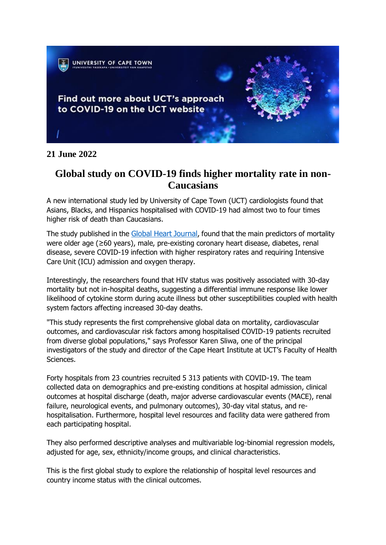

## **21 June 2022**

## **Global study on COVID-19 finds higher mortality rate in non-Caucasians**

A new international study led by University of Cape Town (UCT) cardiologists found that Asians, Blacks, and Hispanics hospitalised with COVID-19 had almost two to four times higher risk of death than Caucasians.

The study published in the Global Heart [Journal](https://globalheartjournal.com/articles/10.5334/gh.1128/), found that the main predictors of mortality were older age (≥60 years), male, pre-existing coronary heart disease, diabetes, renal disease, severe COVID-19 infection with higher respiratory rates and requiring Intensive Care Unit (ICU) admission and oxygen therapy.

Interestingly, the researchers found that HIV status was positively associated with 30-day mortality but not in-hospital deaths, suggesting a differential immune response like lower likelihood of cytokine storm during acute illness but other susceptibilities coupled with health system factors affecting increased 30-day deaths.

"This study represents the first comprehensive global data on mortality, cardiovascular outcomes, and cardiovascular risk factors among hospitalised COVID-19 patients recruited from diverse global populations," says Professor Karen Sliwa, one of the principal investigators of the study and director of the Cape Heart Institute at UCT's Faculty of Health Sciences.

Forty hospitals from 23 countries recruited 5 313 patients with COVID-19. The team collected data on demographics and pre-existing conditions at hospital admission, clinical outcomes at hospital discharge (death, major adverse cardiovascular events (MACE), renal failure, neurological events, and pulmonary outcomes), 30-day vital status, and rehospitalisation. Furthermore, hospital level resources and facility data were gathered from each participating hospital.

They also performed descriptive analyses and multivariable log-binomial regression models, adjusted for age, sex, ethnicity/income groups, and clinical characteristics.

This is the first global study to explore the relationship of hospital level resources and country income status with the clinical outcomes.